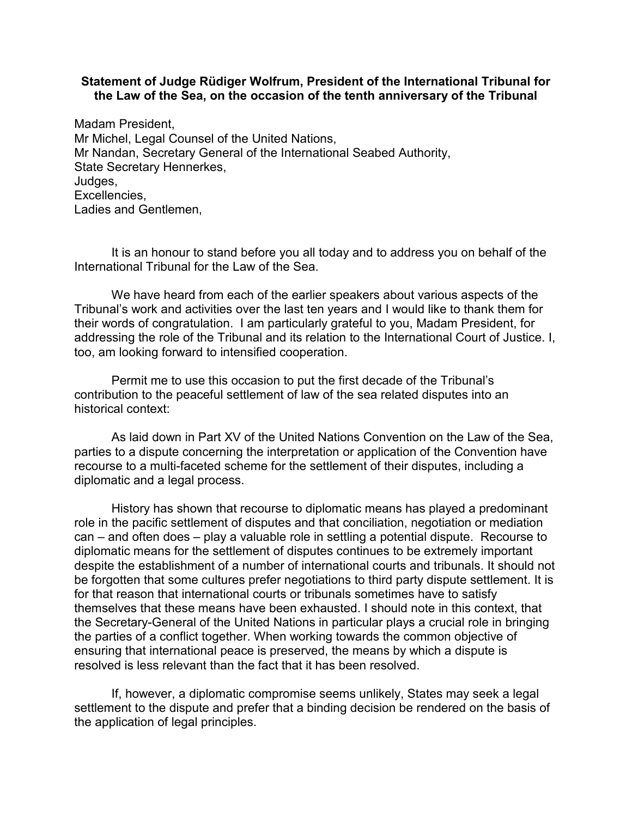## **Statement of Judge Rüdiger Wolfrum, President of the International Tribunal for the Law of the Sea, on the occasion of the tenth anniversary of the Tribunal**

Madam President, Mr Michel, Legal Counsel of the United Nations, Mr Nandan, Secretary General of the International Seabed Authority, State Secretary Hennerkes, Judges, Excellencies, Ladies and Gentlemen,

It is an honour to stand before you all today and to address you on behalf of the International Tribunal for the Law of the Sea.

We have heard from each of the earlier speakers about various aspects of the Tribunal's work and activities over the last ten years and I would like to thank them for their words of congratulation. I am particularly grateful to you, Madam President, for addressing the role of the Tribunal and its relation to the International Court of Justice. I, too, am looking forward to intensified cooperation.

Permit me to use this occasion to put the first decade of the Tribunal's contribution to the peaceful settlement of law of the sea related disputes into an historical context:

As laid down in Part XV of the United Nations Convention on the Law of the Sea, parties to a dispute concerning the interpretation or application of the Convention have recourse to a multi-faceted scheme for the settlement of their disputes, including a diplomatic and a legal process.

History has shown that recourse to diplomatic means has played a predominant role in the pacific settlement of disputes and that conciliation, negotiation or mediation can – and often does – play a valuable role in settling a potential dispute. Recourse to diplomatic means for the settlement of disputes continues to be extremely important despite the establishment of a number of international courts and tribunals. It should not be forgotten that some cultures prefer negotiations to third party dispute settlement. It is for that reason that international courts or tribunals sometimes have to satisfy themselves that these means have been exhausted. I should note in this context, that the Secretary-General of the United Nations in particular plays a crucial role in bringing the parties of a conflict together. When working towards the common objective of ensuring that international peace is preserved, the means by which a dispute is resolved is less relevant than the fact that it has been resolved.

If, however, a diplomatic compromise seems unlikely, States may seek a legal settlement to the dispute and prefer that a binding decision be rendered on the basis of the application of legal principles.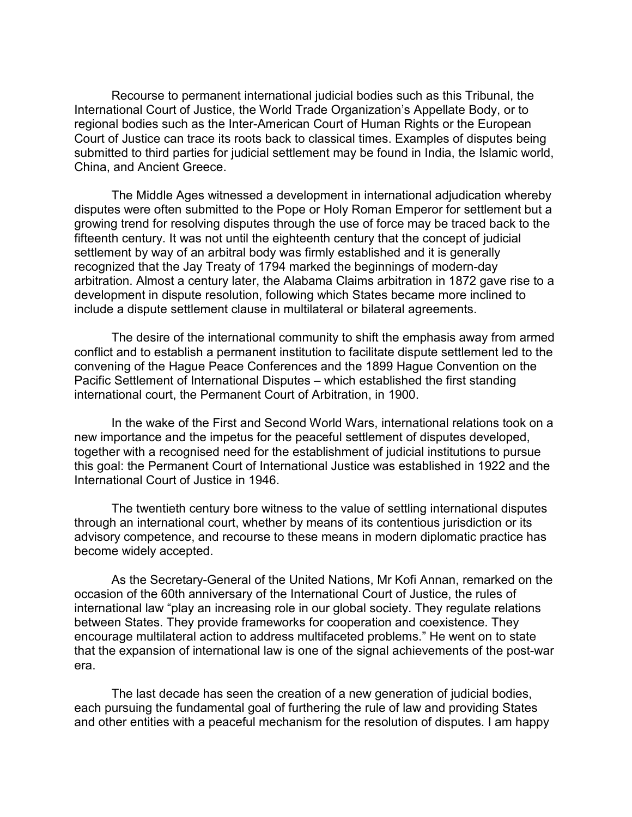Recourse to permanent international judicial bodies such as this Tribunal, the International Court of Justice, the World Trade Organization's Appellate Body, or to regional bodies such as the Inter-American Court of Human Rights or the European Court of Justice can trace its roots back to classical times. Examples of disputes being submitted to third parties for judicial settlement may be found in India, the Islamic world, China, and Ancient Greece.

The Middle Ages witnessed a development in international adjudication whereby disputes were often submitted to the Pope or Holy Roman Emperor for settlement but a growing trend for resolving disputes through the use of force may be traced back to the fifteenth century. It was not until the eighteenth century that the concept of judicial settlement by way of an arbitral body was firmly established and it is generally recognized that the Jay Treaty of 1794 marked the beginnings of modern-day arbitration. Almost a century later, the Alabama Claims arbitration in 1872 gave rise to a development in dispute resolution, following which States became more inclined to include a dispute settlement clause in multilateral or bilateral agreements.

The desire of the international community to shift the emphasis away from armed conflict and to establish a permanent institution to facilitate dispute settlement led to the convening of the Hague Peace Conferences and the 1899 Hague Convention on the Pacific Settlement of International Disputes – which established the first standing international court, the Permanent Court of Arbitration, in 1900.

In the wake of the First and Second World Wars, international relations took on a new importance and the impetus for the peaceful settlement of disputes developed, together with a recognised need for the establishment of judicial institutions to pursue this goal: the Permanent Court of International Justice was established in 1922 and the International Court of Justice in 1946.

The twentieth century bore witness to the value of settling international disputes through an international court, whether by means of its contentious jurisdiction or its advisory competence, and recourse to these means in modern diplomatic practice has become widely accepted.

As the Secretary-General of the United Nations, Mr Kofi Annan, remarked on the occasion of the 60th anniversary of the International Court of Justice, the rules of international law "play an increasing role in our global society. They regulate relations between States. They provide frameworks for cooperation and coexistence. They encourage multilateral action to address multifaceted problems." He went on to state that the expansion of international law is one of the signal achievements of the post-war era.

The last decade has seen the creation of a new generation of judicial bodies, each pursuing the fundamental goal of furthering the rule of law and providing States and other entities with a peaceful mechanism for the resolution of disputes. I am happy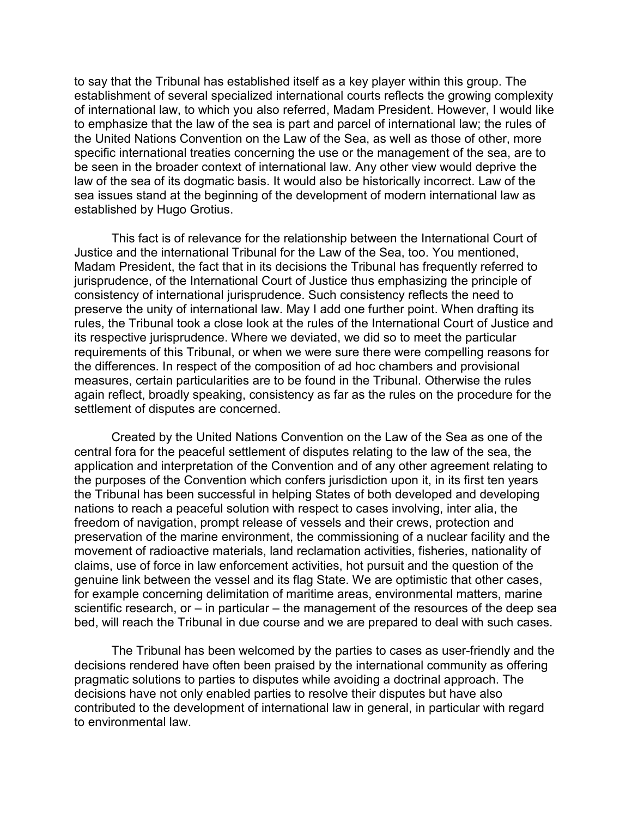to say that the Tribunal has established itself as a key player within this group. The establishment of several specialized international courts reflects the growing complexity of international law, to which you also referred, Madam President. However, I would like to emphasize that the law of the sea is part and parcel of international law; the rules of the United Nations Convention on the Law of the Sea, as well as those of other, more specific international treaties concerning the use or the management of the sea, are to be seen in the broader context of international law. Any other view would deprive the law of the sea of its dogmatic basis. It would also be historically incorrect. Law of the sea issues stand at the beginning of the development of modern international law as established by Hugo Grotius.

This fact is of relevance for the relationship between the International Court of Justice and the international Tribunal for the Law of the Sea, too. You mentioned, Madam President, the fact that in its decisions the Tribunal has frequently referred to jurisprudence, of the International Court of Justice thus emphasizing the principle of consistency of international jurisprudence. Such consistency reflects the need to preserve the unity of international law. May I add one further point. When drafting its rules, the Tribunal took a close look at the rules of the International Court of Justice and its respective jurisprudence. Where we deviated, we did so to meet the particular requirements of this Tribunal, or when we were sure there were compelling reasons for the differences. In respect of the composition of ad hoc chambers and provisional measures, certain particularities are to be found in the Tribunal. Otherwise the rules again reflect, broadly speaking, consistency as far as the rules on the procedure for the settlement of disputes are concerned.

Created by the United Nations Convention on the Law of the Sea as one of the central fora for the peaceful settlement of disputes relating to the law of the sea, the application and interpretation of the Convention and of any other agreement relating to the purposes of the Convention which confers jurisdiction upon it, in its first ten years the Tribunal has been successful in helping States of both developed and developing nations to reach a peaceful solution with respect to cases involving, inter alia, the freedom of navigation, prompt release of vessels and their crews, protection and preservation of the marine environment, the commissioning of a nuclear facility and the movement of radioactive materials, land reclamation activities, fisheries, nationality of claims, use of force in law enforcement activities, hot pursuit and the question of the genuine link between the vessel and its flag State. We are optimistic that other cases, for example concerning delimitation of maritime areas, environmental matters, marine scientific research, or  $-$  in particular  $-$  the management of the resources of the deep sea bed, will reach the Tribunal in due course and we are prepared to deal with such cases.

The Tribunal has been welcomed by the parties to cases as user-friendly and the decisions rendered have often been praised by the international community as offering pragmatic solutions to parties to disputes while avoiding a doctrinal approach. The decisions have not only enabled parties to resolve their disputes but have also contributed to the development of international law in general, in particular with regard to environmental law.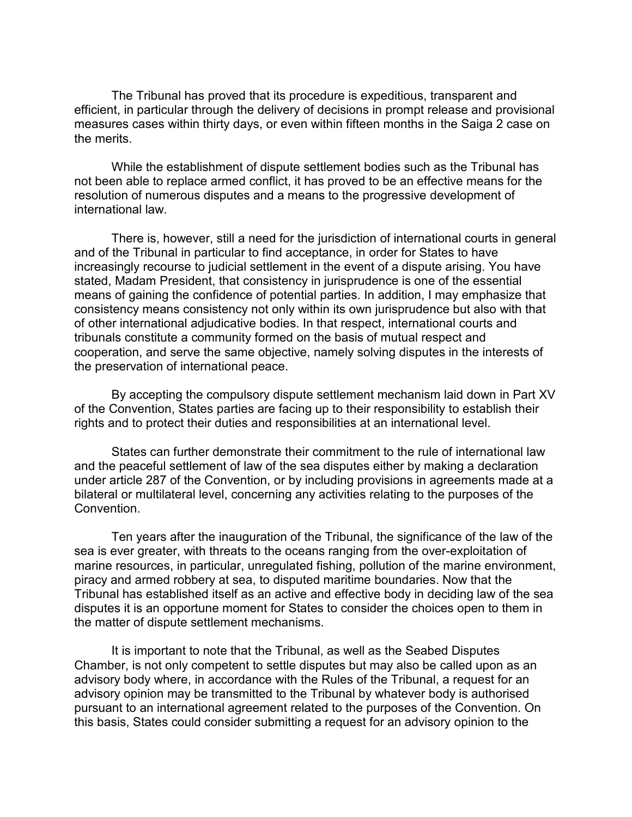The Tribunal has proved that its procedure is expeditious, transparent and efficient, in particular through the delivery of decisions in prompt release and provisional measures cases within thirty days, or even within fifteen months in the Saiga 2 case on the merits.

While the establishment of dispute settlement bodies such as the Tribunal has not been able to replace armed conflict, it has proved to be an effective means for the resolution of numerous disputes and a means to the progressive development of international law.

There is, however, still a need for the jurisdiction of international courts in general and of the Tribunal in particular to find acceptance, in order for States to have increasingly recourse to judicial settlement in the event of a dispute arising. You have stated, Madam President, that consistency in jurisprudence is one of the essential means of gaining the confidence of potential parties. In addition, I may emphasize that consistency means consistency not only within its own jurisprudence but also with that of other international adjudicative bodies. In that respect, international courts and tribunals constitute a community formed on the basis of mutual respect and cooperation, and serve the same objective, namely solving disputes in the interests of the preservation of international peace.

By accepting the compulsory dispute settlement mechanism laid down in Part XV of the Convention, States parties are facing up to their responsibility to establish their rights and to protect their duties and responsibilities at an international level.

States can further demonstrate their commitment to the rule of international law and the peaceful settlement of law of the sea disputes either by making a declaration under article 287 of the Convention, or by including provisions in agreements made at a bilateral or multilateral level, concerning any activities relating to the purposes of the Convention.

Ten years after the inauguration of the Tribunal, the significance of the law of the sea is ever greater, with threats to the oceans ranging from the over-exploitation of marine resources, in particular, unregulated fishing, pollution of the marine environment, piracy and armed robbery at sea, to disputed maritime boundaries. Now that the Tribunal has established itself as an active and effective body in deciding law of the sea disputes it is an opportune moment for States to consider the choices open to them in the matter of dispute settlement mechanisms.

It is important to note that the Tribunal, as well as the Seabed Disputes Chamber, is not only competent to settle disputes but may also be called upon as an advisory body where, in accordance with the Rules of the Tribunal, a request for an advisory opinion may be transmitted to the Tribunal by whatever body is authorised pursuant to an international agreement related to the purposes of the Convention. On this basis, States could consider submitting a request for an advisory opinion to the